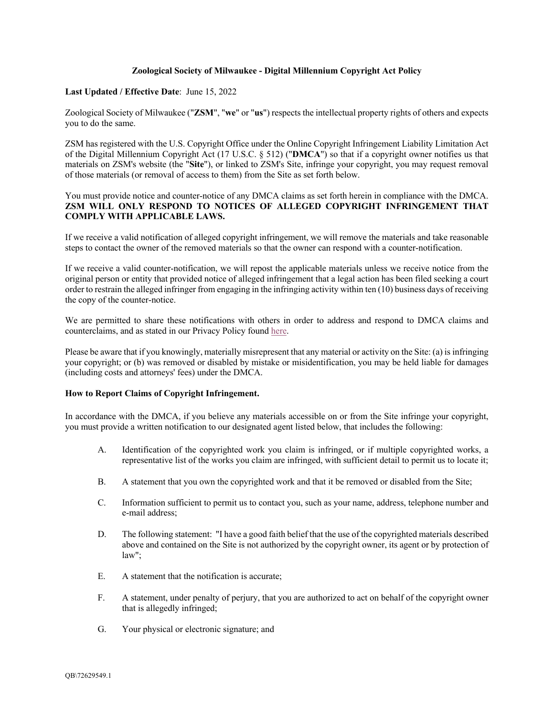## **Zoological Society of Milwaukee - Digital Millennium Copyright Act Policy**

### **Last Updated / Effective Date**: June 15, 2022

Zoological Society of Milwaukee ("**ZSM**", "**we**" or "**us**") respects the intellectual property rights of others and expects you to do the same.

ZSM has registered with the U.S. Copyright Office under the Online Copyright Infringement Liability Limitation Act of the Digital Millennium Copyright Act (17 U.S.C. § 512) ("**DMCA**") so that if a copyright owner notifies us that materials on ZSM's website (the "**Site**"), or linked to ZSM's Site, infringe your copyright, you may request removal of those materials (or removal of access to them) from the Site as set forth below.

# You must provide notice and counter-notice of any DMCA claims as set forth herein in compliance with the DMCA. **ZSM WILL ONLY RESPOND TO NOTICES OF ALLEGED COPYRIGHT INFRINGEMENT THAT COMPLY WITH APPLICABLE LAWS.**

If we receive a valid notification of alleged copyright infringement, we will remove the materials and take reasonable steps to contact the owner of the removed materials so that the owner can respond with a counter-notification.

If we receive a valid counter-notification, we will repost the applicable materials unless we receive notice from the original person or entity that provided notice of alleged infringement that a legal action has been filed seeking a court order to restrain the alleged infringer from engaging in the infringing activity within ten (10) business days of receiving the copy of the counter-notice.

We are permitted to share these notifications with others in order to address and respond to DMCA claims and counterclaims, and as stated in our Privacy Policy found [here](https://www.zoosociety.org/policies/#privacy).

Please be aware that if you knowingly, materially misrepresent that any material or activity on the Site: (a) is infringing your copyright; or (b) was removed or disabled by mistake or misidentification, you may be held liable for damages (including costs and attorneys' fees) under the DMCA.

### **How to Report Claims of Copyright Infringement.**

In accordance with the DMCA, if you believe any materials accessible on or from the Site infringe your copyright, you must provide a written notification to our designated agent listed below, that includes the following:

- A. Identification of the copyrighted work you claim is infringed, or if multiple copyrighted works, a representative list of the works you claim are infringed, with sufficient detail to permit us to locate it;
- B. A statement that you own the copyrighted work and that it be removed or disabled from the Site;
- C. Information sufficient to permit us to contact you, such as your name, address, telephone number and e-mail address;
- D. The following statement: "I have a good faith belief that the use of the copyrighted materials described above and contained on the Site is not authorized by the copyright owner, its agent or by protection of law";
- E. A statement that the notification is accurate;
- F. A statement, under penalty of perjury, that you are authorized to act on behalf of the copyright owner that is allegedly infringed;
- G. Your physical or electronic signature; and